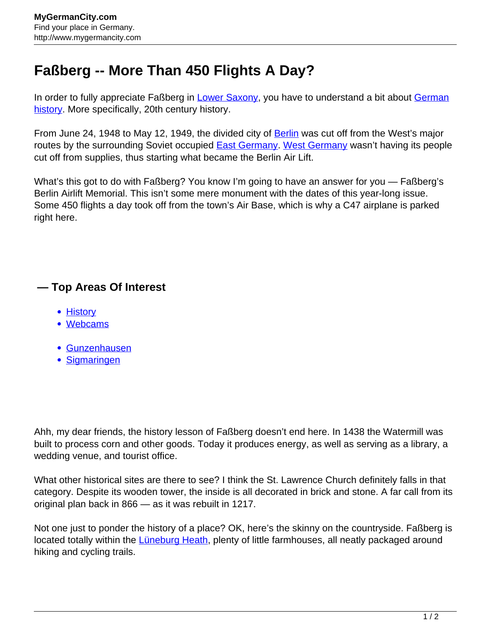## **Faßberg -- More Than 450 Flights A Day?**

In order to fully appreciate Faßberg in [Lower Saxony,](http://www.mygermancity.com/lower-saxony) you have to understand a bit about [German](http://www.mygermancity.com/german-history) [history.](http://www.mygermancity.com/german-history) More specifically, 20th century history.

From June 24, 1948 to May 12, 1949, the divided city of **Berlin** was cut off from the West's major routes by the surrounding Soviet occupied **[East Germany.](http://www.mygermancity.com/east-germany) [West Germany](http://www.mygermancity.com/west-germany)** wasn't having its people cut off from supplies, thus starting what became the Berlin Air Lift.

What's this got to do with Faßberg? You know I'm going to have an answer for you — Faßberg's Berlin Airlift Memorial. This isn't some mere monument with the dates of this year-long issue. Some 450 flights a day took off from the town's Air Base, which is why a C47 airplane is parked right here.

## **— Top Areas Of Interest**

- **[History](http://www.mygermancity.com/leipzig-history)**
- [Webcams](http://www.mygermancity.com/neustadt-holstein-webcams)
- [Gunzenhausen](http://www.mygermancity.com/gunzenhausen)
- [Sigmaringen](http://www.mygermancity.com/sigmaringen)

Ahh, my dear friends, the history lesson of Faßberg doesn't end here. In 1438 the Watermill was built to process corn and other goods. Today it produces energy, as well as serving as a library, a wedding venue, and tourist office.

What other historical sites are there to see? I think the St. Lawrence Church definitely falls in that category. Despite its wooden tower, the inside is all decorated in brick and stone. A far call from its original plan back in 866 — as it was rebuilt in 1217.

Not one just to ponder the history of a place? OK, here's the skinny on the countryside. Faßberg is located totally within the *Lüneburg Heath*, plenty of little farmhouses, all neatly packaged around hiking and cycling trails.